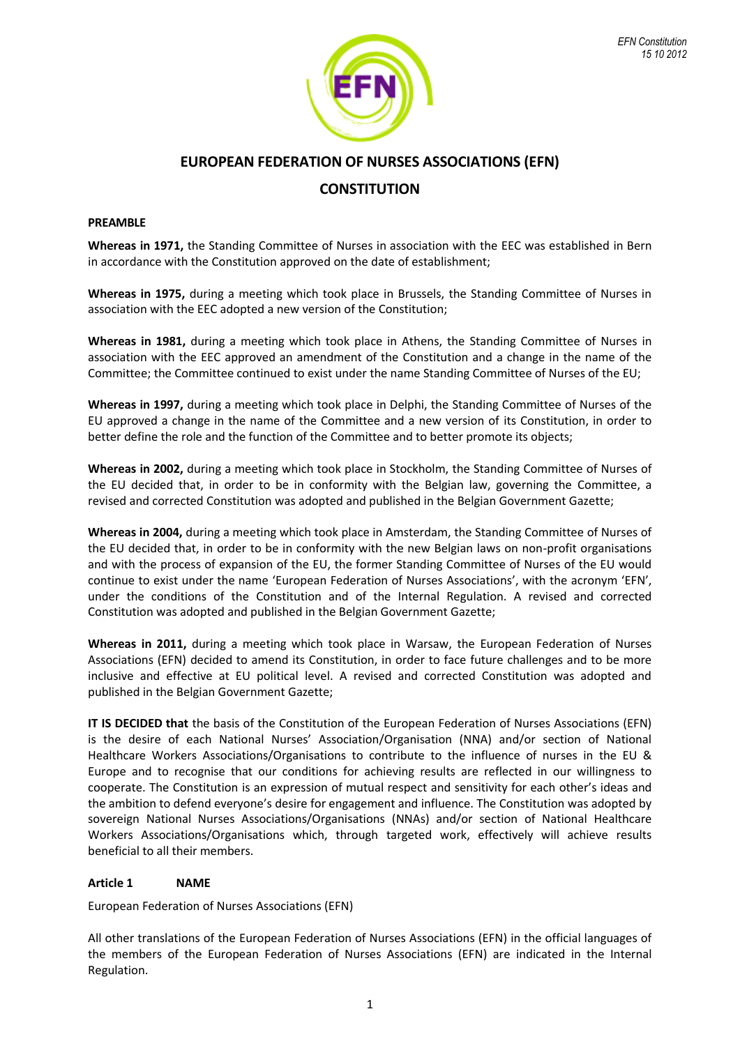

# **EUROPEAN FEDERATION OF NURSES ASSOCIATIONS (EFN)**

# **CONSTITUTION**

### **PREAMBLE**

**Whereas in 1971,** the Standing Committee of Nurses in association with the EEC was established in Bern in accordance with the Constitution approved on the date of establishment;

**Whereas in 1975,** during a meeting which took place in Brussels, the Standing Committee of Nurses in association with the EEC adopted a new version of the Constitution;

**Whereas in 1981,** during a meeting which took place in Athens, the Standing Committee of Nurses in association with the EEC approved an amendment of the Constitution and a change in the name of the Committee; the Committee continued to exist under the name Standing Committee of Nurses of the EU;

**Whereas in 1997,** during a meeting which took place in Delphi, the Standing Committee of Nurses of the EU approved a change in the name of the Committee and a new version of its Constitution, in order to better define the role and the function of the Committee and to better promote its objects;

**Whereas in 2002,** during a meeting which took place in Stockholm, the Standing Committee of Nurses of the EU decided that, in order to be in conformity with the Belgian law, governing the Committee, a revised and corrected Constitution was adopted and published in the Belgian Government Gazette;

**Whereas in 2004,** during a meeting which took place in Amsterdam, the Standing Committee of Nurses of the EU decided that, in order to be in conformity with the new Belgian laws on non-profit organisations and with the process of expansion of the EU, the former Standing Committee of Nurses of the EU would continue to exist under the name 'European Federation of Nurses Associations', with the acronym 'EFN', under the conditions of the Constitution and of the Internal Regulation. A revised and corrected Constitution was adopted and published in the Belgian Government Gazette;

**Whereas in 2011,** during a meeting which took place in Warsaw, the European Federation of Nurses Associations (EFN) decided to amend its Constitution, in order to face future challenges and to be more inclusive and effective at EU political level. A revised and corrected Constitution was adopted and published in the Belgian Government Gazette;

**IT IS DECIDED that** the basis of the Constitution of the European Federation of Nurses Associations (EFN) is the desire of each National Nurses' Association/Organisation (NNA) and/or section of National Healthcare Workers Associations/Organisations to contribute to the influence of nurses in the EU & Europe and to recognise that our conditions for achieving results are reflected in our willingness to cooperate. The Constitution is an expression of mutual respect and sensitivity for each other's ideas and the ambition to defend everyone's desire for engagement and influence. The Constitution was adopted by sovereign National Nurses Associations/Organisations (NNAs) and/or section of National Healthcare Workers Associations/Organisations which, through targeted work, effectively will achieve results beneficial to all their members.

# **Article 1 NAME**

European Federation of Nurses Associations (EFN)

All other translations of the European Federation of Nurses Associations (EFN) in the official languages of the members of the European Federation of Nurses Associations (EFN) are indicated in the Internal Regulation.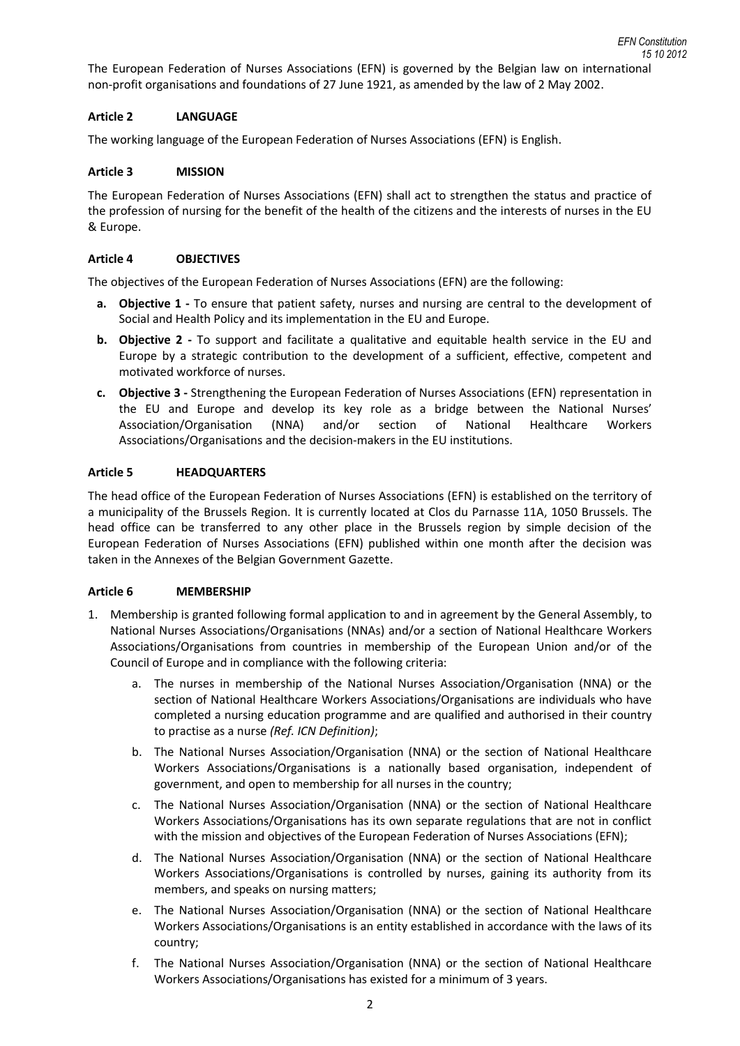The European Federation of Nurses Associations (EFN) is governed by the Belgian law on international non-profit organisations and foundations of 27 June 1921, as amended by the law of 2 May 2002.

# **Article 2 LANGUAGE**

The working language of the European Federation of Nurses Associations (EFN) is English.

## **Article 3 MISSION**

The European Federation of Nurses Associations (EFN) shall act to strengthen the status and practice of the profession of nursing for the benefit of the health of the citizens and the interests of nurses in the EU & Europe.

## **Article 4 OBJECTIVES**

The objectives of the European Federation of Nurses Associations (EFN) are the following:

- **a. Objective 1 -** To ensure that patient safety, nurses and nursing are central to the development of Social and Health Policy and its implementation in the EU and Europe.
- **b. Objective 2 -** To support and facilitate a qualitative and equitable health service in the EU and Europe by a strategic contribution to the development of a sufficient, effective, competent and motivated workforce of nurses.
- **c. Objective 3 -** Strengthening the European Federation of Nurses Associations (EFN) representation in the EU and Europe and develop its key role as a bridge between the National Nurses' Association/Organisation (NNA) and/or section of National Healthcare Workers Associations/Organisations and the decision-makers in the EU institutions.

### **Article 5 HEADQUARTERS**

The head office of the European Federation of Nurses Associations (EFN) is established on the territory of a municipality of the Brussels Region. It is currently located at Clos du Parnasse 11A, 1050 Brussels. The head office can be transferred to any other place in the Brussels region by simple decision of the European Federation of Nurses Associations (EFN) published within one month after the decision was taken in the Annexes of the Belgian Government Gazette.

# **Article 6 MEMBERSHIP**

- 1. Membership is granted following formal application to and in agreement by the General Assembly, to National Nurses Associations/Organisations (NNAs) and/or a section of National Healthcare Workers Associations/Organisations from countries in membership of the European Union and/or of the Council of Europe and in compliance with the following criteria:
	- a. The nurses in membership of the National Nurses Association/Organisation (NNA) or the section of National Healthcare Workers Associations/Organisations are individuals who have completed a nursing education programme and are qualified and authorised in their country to practise as a nurse *(Ref. ICN Definition)*;
	- b. The National Nurses Association/Organisation (NNA) or the section of National Healthcare Workers Associations/Organisations is a nationally based organisation, independent of government, and open to membership for all nurses in the country;
	- c. The National Nurses Association/Organisation (NNA) or the section of National Healthcare Workers Associations/Organisations has its own separate regulations that are not in conflict with the mission and objectives of the European Federation of Nurses Associations (EFN);
	- d. The National Nurses Association/Organisation (NNA) or the section of National Healthcare Workers Associations/Organisations is controlled by nurses, gaining its authority from its members, and speaks on nursing matters;
	- e. The National Nurses Association/Organisation (NNA) or the section of National Healthcare Workers Associations/Organisations is an entity established in accordance with the laws of its country;
	- f. The National Nurses Association/Organisation (NNA) or the section of National Healthcare Workers Associations/Organisations has existed for a minimum of 3 years.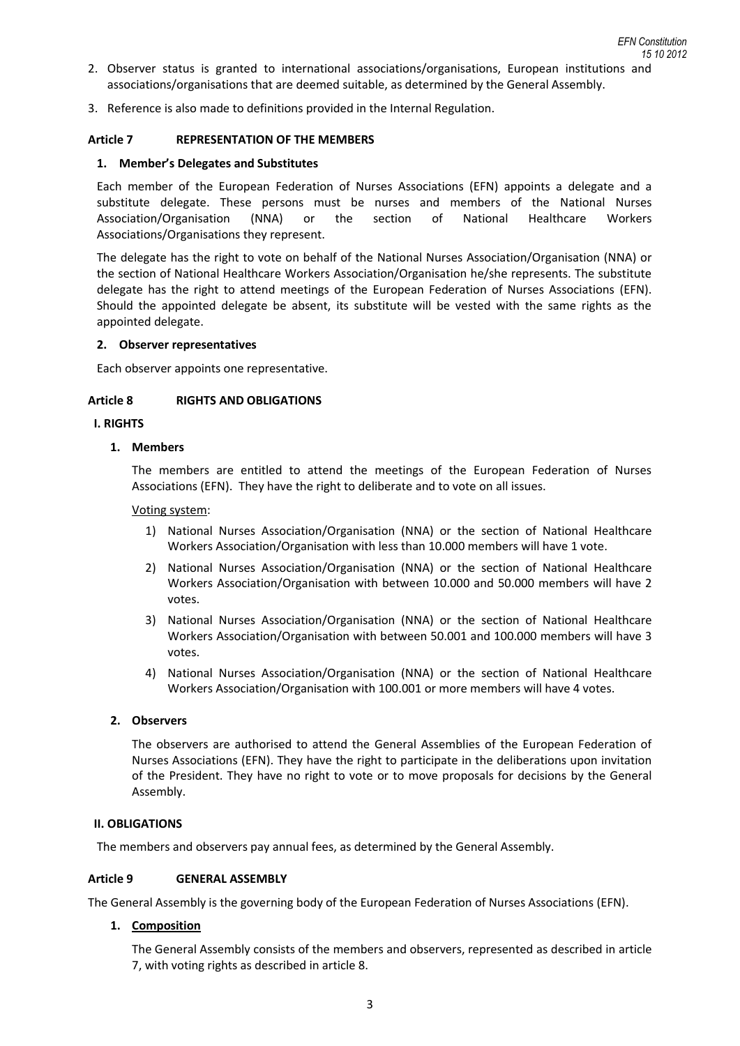- 2. Observer status is granted to international associations/organisations, European institutions and associations/organisations that are deemed suitable, as determined by the General Assembly.
- 3. Reference is also made to definitions provided in the Internal Regulation.

### **Article 7 REPRESENTATION OF THE MEMBERS**

### **1. Member's Delegates and Substitutes**

Each member of the European Federation of Nurses Associations (EFN) appoints a delegate and a substitute delegate. These persons must be nurses and members of the National Nurses Association/Organisation (NNA) or the section of National Healthcare Workers Associations/Organisations they represent.

The delegate has the right to vote on behalf of the National Nurses Association/Organisation (NNA) or the section of National Healthcare Workers Association/Organisation he/she represents. The substitute delegate has the right to attend meetings of the European Federation of Nurses Associations (EFN). Should the appointed delegate be absent, its substitute will be vested with the same rights as the appointed delegate.

#### **2. Observer representatives**

Each observer appoints one representative.

### **Article 8 RIGHTS AND OBLIGATIONS**

### **I. RIGHTS**

### **1. Members**

The members are entitled to attend the meetings of the European Federation of Nurses Associations (EFN). They have the right to deliberate and to vote on all issues.

#### Voting system:

- 1) National Nurses Association/Organisation (NNA) or the section of National Healthcare Workers Association/Organisation with less than 10.000 members will have 1 vote.
- 2) National Nurses Association/Organisation (NNA) or the section of National Healthcare Workers Association/Organisation with between 10.000 and 50.000 members will have 2 votes.
- 3) National Nurses Association/Organisation (NNA) or the section of National Healthcare Workers Association/Organisation with between 50.001 and 100.000 members will have 3 votes.
- 4) National Nurses Association/Organisation (NNA) or the section of National Healthcare Workers Association/Organisation with 100.001 or more members will have 4 votes.

#### **2. Observers**

The observers are authorised to attend the General Assemblies of the European Federation of Nurses Associations (EFN). They have the right to participate in the deliberations upon invitation of the President. They have no right to vote or to move proposals for decisions by the General Assembly.

#### **II. OBLIGATIONS**

The members and observers pay annual fees, as determined by the General Assembly.

#### **Article 9 GENERAL ASSEMBLY**

The General Assembly is the governing body of the European Federation of Nurses Associations (EFN).

#### **1. Composition**

The General Assembly consists of the members and observers, represented as described in article 7, with voting rights as described in article 8.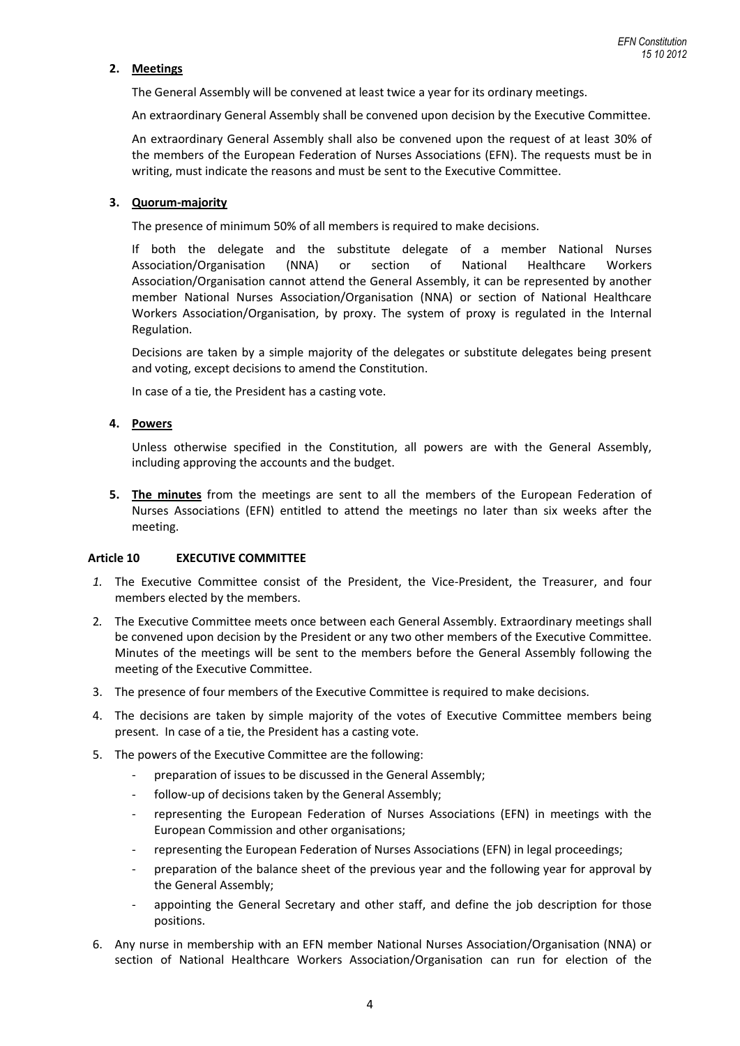# **2. Meetings**

The General Assembly will be convened at least twice a year for its ordinary meetings.

An extraordinary General Assembly shall be convened upon decision by the Executive Committee.

An extraordinary General Assembly shall also be convened upon the request of at least 30% of the members of the European Federation of Nurses Associations (EFN). The requests must be in writing, must indicate the reasons and must be sent to the Executive Committee.

### **3. Quorum-majority**

The presence of minimum 50% of all members is required to make decisions.

If both the delegate and the substitute delegate of a member National Nurses Association/Organisation (NNA) or section of National Healthcare Workers Association/Organisation cannot attend the General Assembly, it can be represented by another member National Nurses Association/Organisation (NNA) or section of National Healthcare Workers Association/Organisation, by proxy. The system of proxy is regulated in the Internal Regulation.

Decisions are taken by a simple majority of the delegates or substitute delegates being present and voting, except decisions to amend the Constitution.

In case of a tie, the President has a casting vote.

# **4. Powers**

Unless otherwise specified in the Constitution, all powers are with the General Assembly, including approving the accounts and the budget.

**5. The minutes** from the meetings are sent to all the members of the European Federation of Nurses Associations (EFN) entitled to attend the meetings no later than six weeks after the meeting.

#### **Article 10 EXECUTIVE COMMITTEE**

- *1.* The Executive Committee consist of the President, the Vice-President, the Treasurer, and four members elected by the members.
- 2*.* The Executive Committee meets once between each General Assembly. Extraordinary meetings shall be convened upon decision by the President or any two other members of the Executive Committee. Minutes of the meetings will be sent to the members before the General Assembly following the meeting of the Executive Committee.
- 3. The presence of four members of the Executive Committee is required to make decisions.
- 4. The decisions are taken by simple majority of the votes of Executive Committee members being present. In case of a tie, the President has a casting vote.
- 5. The powers of the Executive Committee are the following:
	- preparation of issues to be discussed in the General Assembly;
	- follow-up of decisions taken by the General Assembly;
	- representing the European Federation of Nurses Associations (EFN) in meetings with the European Commission and other organisations;
	- representing the European Federation of Nurses Associations (EFN) in legal proceedings;
	- preparation of the balance sheet of the previous year and the following year for approval by the General Assembly;
	- appointing the General Secretary and other staff, and define the job description for those positions.
- 6. Any nurse in membership with an EFN member National Nurses Association/Organisation (NNA) or section of National Healthcare Workers Association/Organisation can run for election of the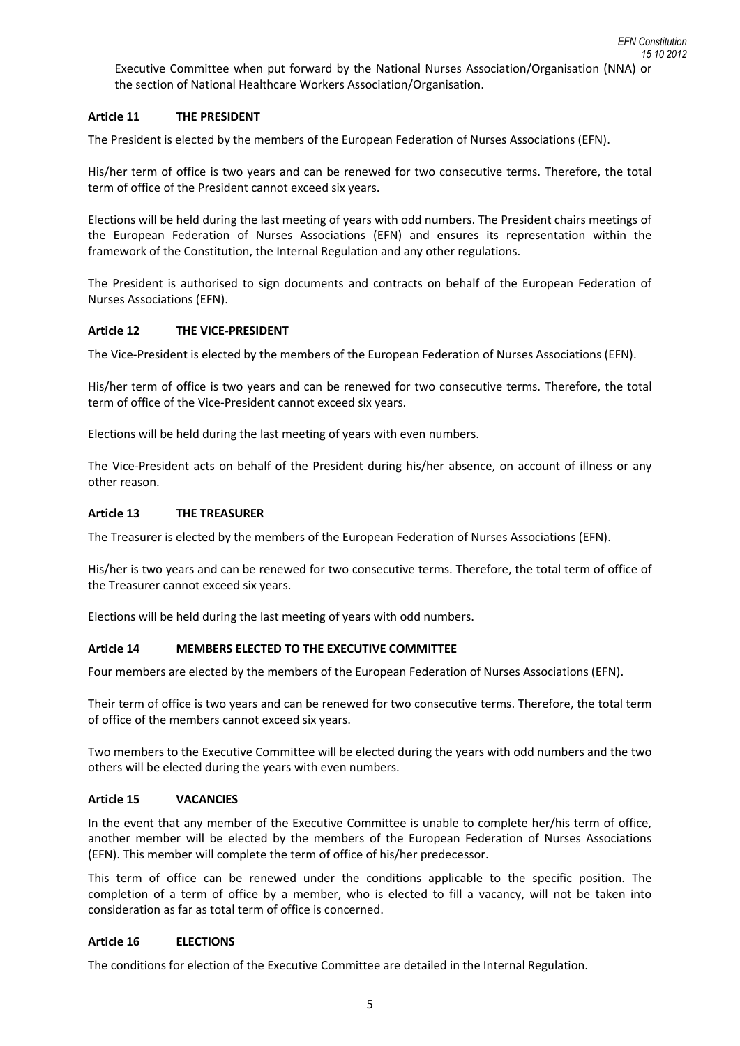Executive Committee when put forward by the National Nurses Association/Organisation (NNA) or the section of National Healthcare Workers Association/Organisation.

# **Article 11 THE PRESIDENT**

The President is elected by the members of the European Federation of Nurses Associations (EFN).

His/her term of office is two years and can be renewed for two consecutive terms. Therefore, the total term of office of the President cannot exceed six years.

Elections will be held during the last meeting of years with odd numbers. The President chairs meetings of the European Federation of Nurses Associations (EFN) and ensures its representation within the framework of the Constitution, the Internal Regulation and any other regulations.

The President is authorised to sign documents and contracts on behalf of the European Federation of Nurses Associations (EFN).

#### **Article 12 THE VICE-PRESIDENT**

The Vice-President is elected by the members of the European Federation of Nurses Associations (EFN).

His/her term of office is two years and can be renewed for two consecutive terms. Therefore, the total term of office of the Vice-President cannot exceed six years.

Elections will be held during the last meeting of years with even numbers.

The Vice-President acts on behalf of the President during his/her absence, on account of illness or any other reason.

### **Article 13 THE TREASURER**

The Treasurer is elected by the members of the European Federation of Nurses Associations (EFN).

His/her is two years and can be renewed for two consecutive terms. Therefore, the total term of office of the Treasurer cannot exceed six years.

Elections will be held during the last meeting of years with odd numbers.

# **Article 14 MEMBERS ELECTED TO THE EXECUTIVE COMMITTEE**

Four members are elected by the members of the European Federation of Nurses Associations (EFN).

Their term of office is two years and can be renewed for two consecutive terms. Therefore, the total term of office of the members cannot exceed six years.

Two members to the Executive Committee will be elected during the years with odd numbers and the two others will be elected during the years with even numbers.

#### **Article 15 VACANCIES**

In the event that any member of the Executive Committee is unable to complete her/his term of office, another member will be elected by the members of the European Federation of Nurses Associations (EFN). This member will complete the term of office of his/her predecessor.

This term of office can be renewed under the conditions applicable to the specific position. The completion of a term of office by a member, who is elected to fill a vacancy, will not be taken into consideration as far as total term of office is concerned.

# **Article 16 ELECTIONS**

The conditions for election of the Executive Committee are detailed in the Internal Regulation.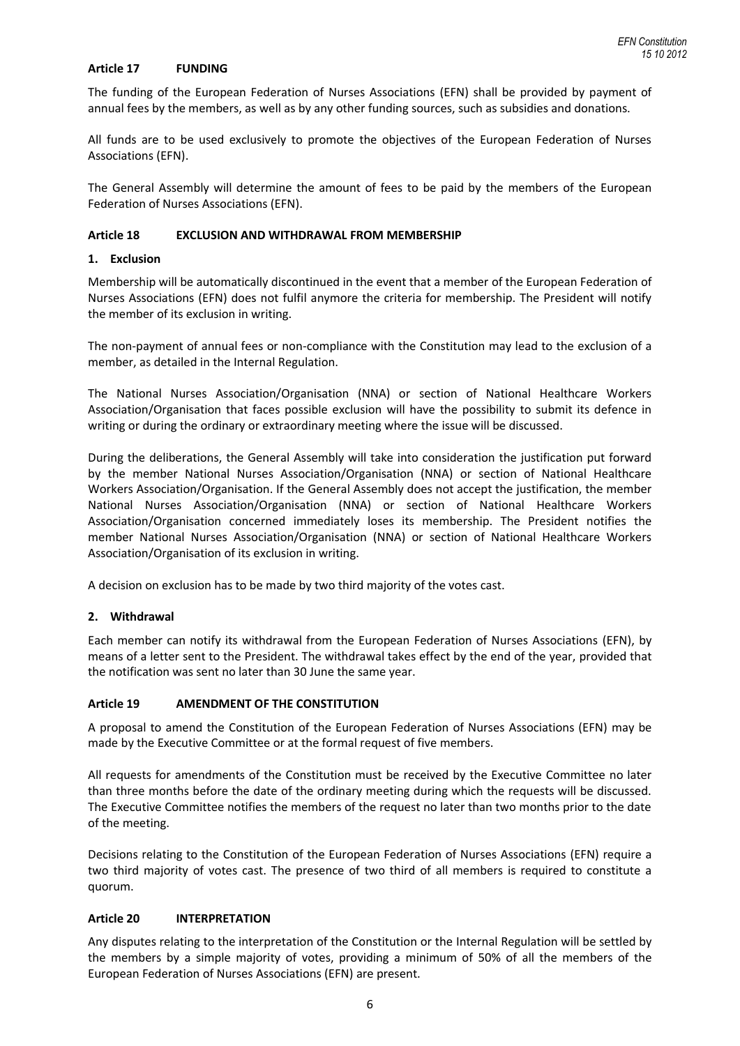## **Article 17 FUNDING**

The funding of the European Federation of Nurses Associations (EFN) shall be provided by payment of annual fees by the members, as well as by any other funding sources, such as subsidies and donations.

All funds are to be used exclusively to promote the objectives of the European Federation of Nurses Associations (EFN).

The General Assembly will determine the amount of fees to be paid by the members of the European Federation of Nurses Associations (EFN).

### **Article 18 EXCLUSION AND WITHDRAWAL FROM MEMBERSHIP**

### **1. Exclusion**

Membership will be automatically discontinued in the event that a member of the European Federation of Nurses Associations (EFN) does not fulfil anymore the criteria for membership. The President will notify the member of its exclusion in writing.

The non-payment of annual fees or non-compliance with the Constitution may lead to the exclusion of a member, as detailed in the Internal Regulation.

The National Nurses Association/Organisation (NNA) or section of National Healthcare Workers Association/Organisation that faces possible exclusion will have the possibility to submit its defence in writing or during the ordinary or extraordinary meeting where the issue will be discussed.

During the deliberations, the General Assembly will take into consideration the justification put forward by the member National Nurses Association/Organisation (NNA) or section of National Healthcare Workers Association/Organisation. If the General Assembly does not accept the justification, the member National Nurses Association/Organisation (NNA) or section of National Healthcare Workers Association/Organisation concerned immediately loses its membership. The President notifies the member National Nurses Association/Organisation (NNA) or section of National Healthcare Workers Association/Organisation of its exclusion in writing.

A decision on exclusion has to be made by two third majority of the votes cast.

# **2. Withdrawal**

Each member can notify its withdrawal from the European Federation of Nurses Associations (EFN), by means of a letter sent to the President. The withdrawal takes effect by the end of the year, provided that the notification was sent no later than 30 June the same year.

# **Article 19 AMENDMENT OF THE CONSTITUTION**

A proposal to amend the Constitution of the European Federation of Nurses Associations (EFN) may be made by the Executive Committee or at the formal request of five members.

All requests for amendments of the Constitution must be received by the Executive Committee no later than three months before the date of the ordinary meeting during which the requests will be discussed. The Executive Committee notifies the members of the request no later than two months prior to the date of the meeting.

Decisions relating to the Constitution of the European Federation of Nurses Associations (EFN) require a two third majority of votes cast. The presence of two third of all members is required to constitute a quorum.

# **Article 20 INTERPRETATION**

Any disputes relating to the interpretation of the Constitution or the Internal Regulation will be settled by the members by a simple majority of votes, providing a minimum of 50% of all the members of the European Federation of Nurses Associations (EFN) are present.